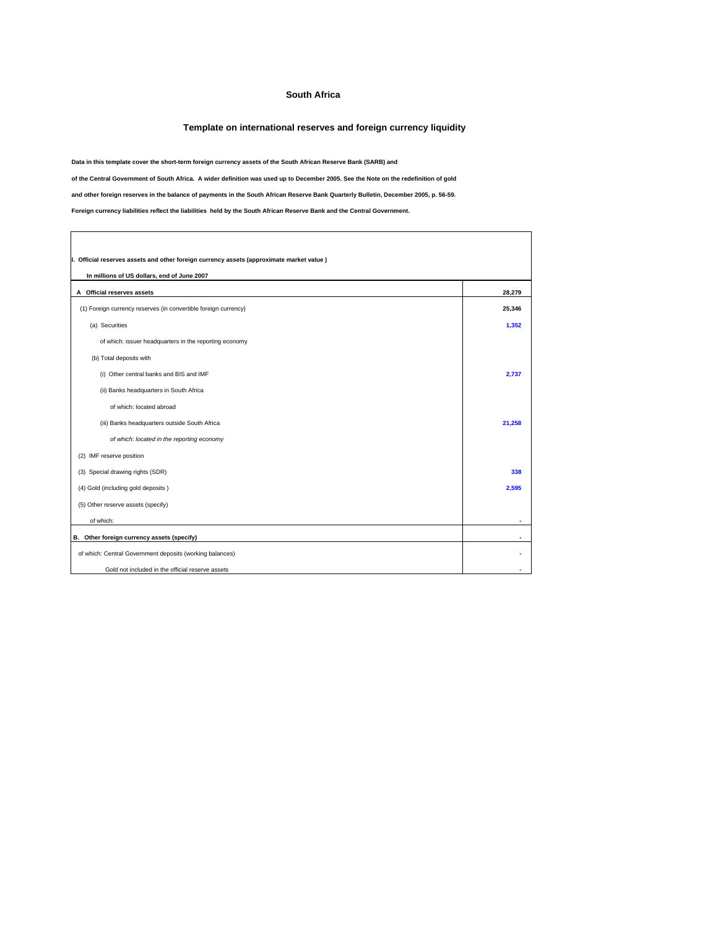## **South Africa**

## **Template on international reserves and foreign currency liquidity**

٦

**Data in this template cover the short-term foreign currency assets of the South African Reserve Bank (SARB) and**

**of the Central Government of South Africa. A wider definition was used up to December 2005. See the Note on the redefinition of gold**

**and other foreign reserves in the balance of payments in the South African Reserve Bank Quarterly Bulletin, December 2005, p. 56-59.**

**Foreign currency liabilities reflect the liabilities held by the South African Reserve Bank and the Central Government.**

 $\overline{\Gamma}$ 

| I. Official reserves assets and other foreign currency assets (approximate market value)<br>In millions of US dollars, end of June 2007 |        |  |  |
|-----------------------------------------------------------------------------------------------------------------------------------------|--------|--|--|
| A Official reserves assets                                                                                                              | 28,279 |  |  |
| (1) Foreign currency reserves (in convertible foreign currency)                                                                         | 25,346 |  |  |
| (a) Securities                                                                                                                          | 1,352  |  |  |
| of which: issuer headquarters in the reporting economy                                                                                  |        |  |  |
| (b) Total deposits with                                                                                                                 |        |  |  |
| (i) Other central banks and BIS and IMF                                                                                                 | 2.737  |  |  |
| (ii) Banks headquarters in South Africa                                                                                                 |        |  |  |
| of which: located abroad                                                                                                                |        |  |  |
| (iii) Banks headquarters outside South Africa                                                                                           | 21.258 |  |  |
| of which: located in the reporting economy                                                                                              |        |  |  |
| (2) IMF reserve position                                                                                                                |        |  |  |
| (3) Special drawing rights (SDR)                                                                                                        | 338    |  |  |
| (4) Gold (including gold deposits)                                                                                                      | 2,595  |  |  |
| (5) Other reserve assets (specify)                                                                                                      |        |  |  |
| of which:                                                                                                                               | ۰      |  |  |
| B. Other foreign currency assets (specify)                                                                                              |        |  |  |
| of which: Central Government deposits (working balances)                                                                                |        |  |  |
| Gold not included in the official reserve assets                                                                                        |        |  |  |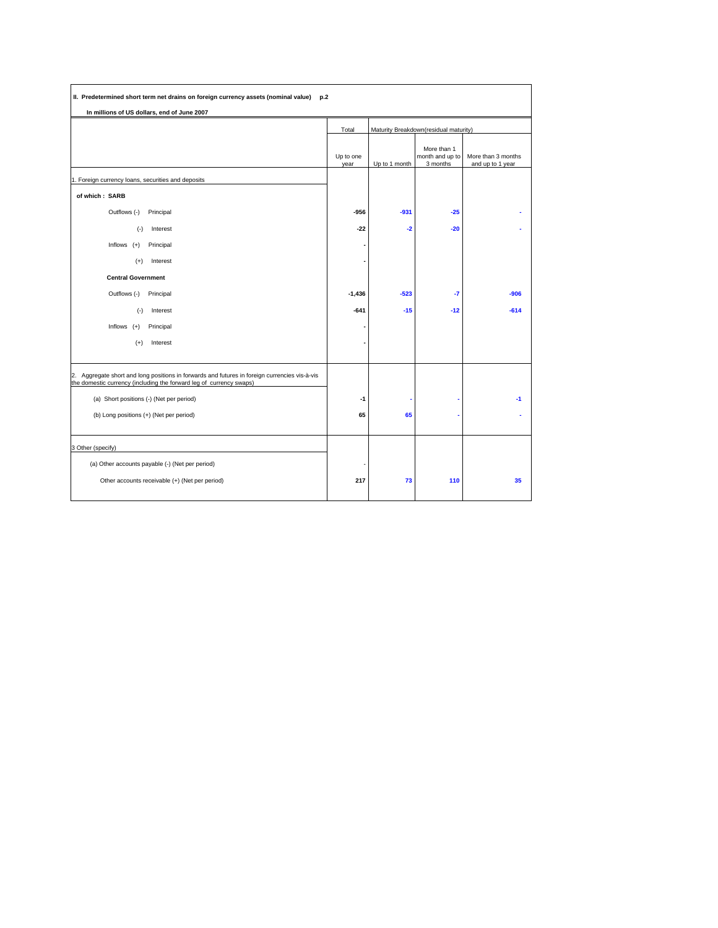| II. Predetermined short term net drains on foreign currency assets (nominal value) p.2                                                                               |                   |                                       |                                            |                                        |
|----------------------------------------------------------------------------------------------------------------------------------------------------------------------|-------------------|---------------------------------------|--------------------------------------------|----------------------------------------|
| In millions of US dollars, end of June 2007                                                                                                                          |                   |                                       |                                            |                                        |
|                                                                                                                                                                      | Total             | Maturity Breakdown(residual maturity) |                                            |                                        |
|                                                                                                                                                                      | Up to one<br>year | Up to 1 month                         | More than 1<br>month and up to<br>3 months | More than 3 months<br>and up to 1 year |
| 1. Foreign currency loans, securities and deposits                                                                                                                   |                   |                                       |                                            |                                        |
| of which: SARB                                                                                                                                                       |                   |                                       |                                            |                                        |
| Outflows (-)<br>Principal                                                                                                                                            | -956              | $-931$                                | $-25$                                      |                                        |
| $(-)$<br>Interest                                                                                                                                                    | $-22$             | $-2$                                  | $-20$                                      |                                        |
| Inflows $(+)$<br>Principal                                                                                                                                           |                   |                                       |                                            |                                        |
| Interest<br>$(+)$                                                                                                                                                    |                   |                                       |                                            |                                        |
| <b>Central Government</b>                                                                                                                                            |                   |                                       |                                            |                                        |
| Outflows (-)<br>Principal                                                                                                                                            | $-1,436$          | $-523$                                | $-7$                                       | $-906$                                 |
| $(\cdot)$<br>Interest                                                                                                                                                | $-641$            | $-15$                                 | $-12$                                      | $-614$                                 |
| Inflows $(+)$<br>Principal                                                                                                                                           |                   |                                       |                                            |                                        |
| $(+)$<br>Interest                                                                                                                                                    |                   |                                       |                                            |                                        |
|                                                                                                                                                                      |                   |                                       |                                            |                                        |
| 2. Aggregate short and long positions in forwards and futures in foreign currencies vis-à-vis<br>the domestic currency (including the forward leg of currency swaps) |                   |                                       |                                            |                                        |
| (a) Short positions (-) (Net per period)                                                                                                                             | -1                |                                       |                                            | $-1$                                   |
| (b) Long positions (+) (Net per period)                                                                                                                              | 65                | 65                                    |                                            |                                        |
|                                                                                                                                                                      |                   |                                       |                                            |                                        |
| 3 Other (specify)                                                                                                                                                    |                   |                                       |                                            |                                        |
| (a) Other accounts payable (-) (Net per period)                                                                                                                      |                   |                                       |                                            |                                        |
| Other accounts receivable (+) (Net per period)                                                                                                                       | 217               | 73                                    | 110                                        | 35                                     |
|                                                                                                                                                                      |                   |                                       |                                            |                                        |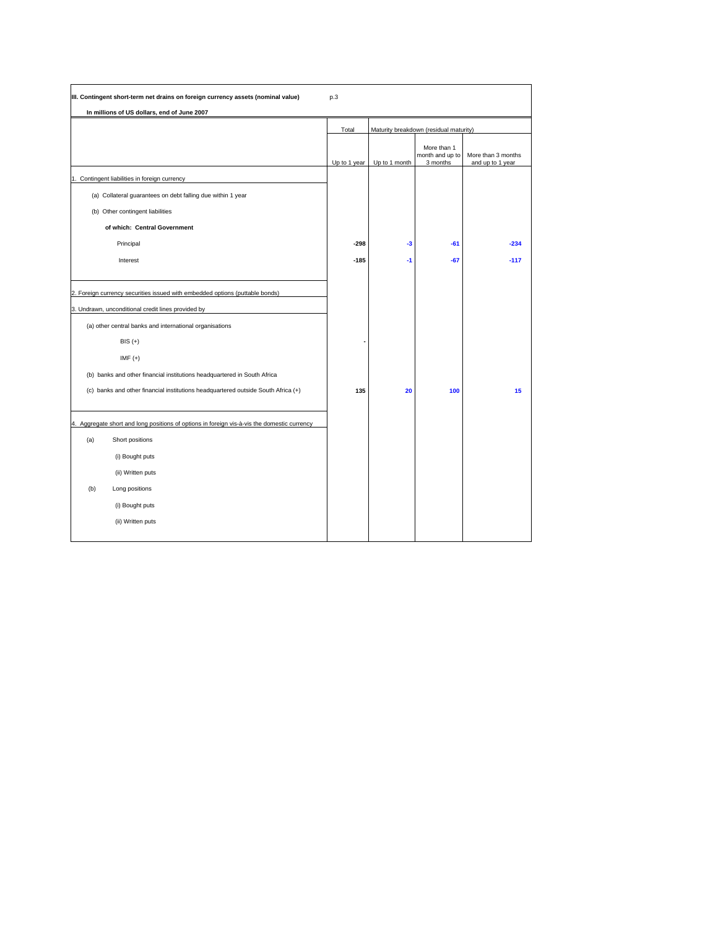| III. Contingent short-term net drains on foreign currency assets (nominal value)                                                                                                                           | p.3          |               |                                            |                                        |
|------------------------------------------------------------------------------------------------------------------------------------------------------------------------------------------------------------|--------------|---------------|--------------------------------------------|----------------------------------------|
| In millions of US dollars, end of June 2007                                                                                                                                                                |              |               |                                            |                                        |
|                                                                                                                                                                                                            | Total        |               | Maturity breakdown (residual maturity)     |                                        |
|                                                                                                                                                                                                            | Up to 1 year | Up to 1 month | More than 1<br>month and up to<br>3 months | More than 3 months<br>and up to 1 year |
| 1. Contingent liabilities in foreign currency                                                                                                                                                              |              |               |                                            |                                        |
| (a) Collateral guarantees on debt falling due within 1 year                                                                                                                                                |              |               |                                            |                                        |
| (b) Other contingent liabilities                                                                                                                                                                           |              |               |                                            |                                        |
| of which: Central Government                                                                                                                                                                               |              |               |                                            |                                        |
| Principal                                                                                                                                                                                                  | $-298$       | -3            | $-61$                                      | $-234$                                 |
| Interest                                                                                                                                                                                                   | $-185$       | $-1$          | $-67$                                      | $-117$                                 |
| 2. Foreign currency securities issued with embedded options (puttable bonds)<br>3. Undrawn, unconditional credit lines provided by<br>(a) other central banks and international organisations<br>$BIS (+)$ |              |               |                                            |                                        |
| $IMF (+)$<br>(b) banks and other financial institutions headquartered in South Africa                                                                                                                      |              |               |                                            |                                        |
| (c) banks and other financial institutions headquartered outside South Africa (+)                                                                                                                          | 135          | 20            | 100                                        | 15                                     |
| 4. Aggregate short and long positions of options in foreign vis-à-vis the domestic currency                                                                                                                |              |               |                                            |                                        |
| (a)<br>Short positions                                                                                                                                                                                     |              |               |                                            |                                        |
| (i) Bought puts                                                                                                                                                                                            |              |               |                                            |                                        |
| (ii) Written puts                                                                                                                                                                                          |              |               |                                            |                                        |
| (b)<br>Long positions                                                                                                                                                                                      |              |               |                                            |                                        |
| (i) Bought puts                                                                                                                                                                                            |              |               |                                            |                                        |
| (ii) Written puts                                                                                                                                                                                          |              |               |                                            |                                        |
|                                                                                                                                                                                                            |              |               |                                            |                                        |